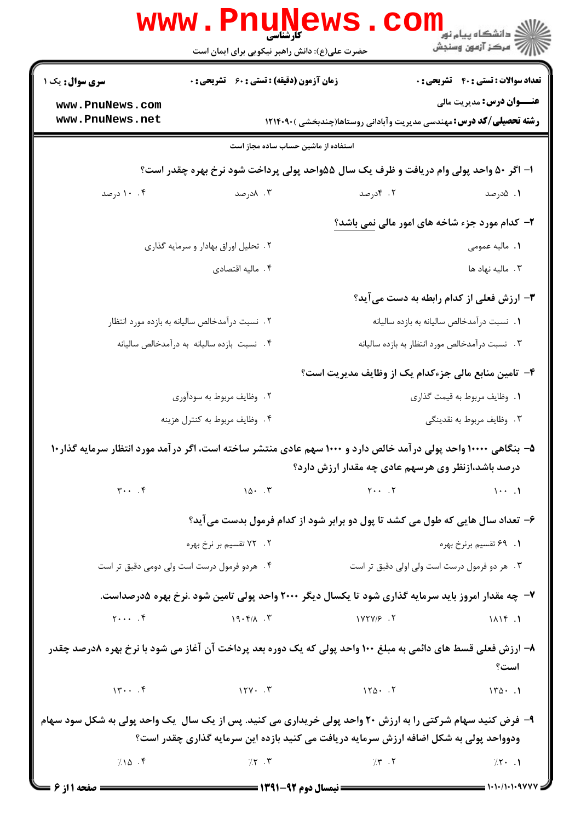|                                | <b>www.PnuNews</b><br><b>کارشناسی</b><br>حضرت علی(ع): دانش راهبر نیکویی برای ایمان است                           |                                                   |                                                                            |
|--------------------------------|------------------------------------------------------------------------------------------------------------------|---------------------------------------------------|----------------------------------------------------------------------------|
| <b>سری سوال :</b> یک ۱         | <b>زمان آزمون (دقیقه) : تستی : 60 ٪ تشریحی : 0</b>                                                               |                                                   | <b>تعداد سوالات : تستی : 40 ٪ تشریحی : 0</b>                               |
| www.PnuNews.com                |                                                                                                                  |                                                   | <b>عنـــوان درس:</b> مدیریت مالی                                           |
| www.PnuNews.net                |                                                                                                                  |                                                   | <b>رشته تحصیلی/کد درس:</b> مهندسی مدیریت وآبادانی روستاها(چندبخشی )۱۲۱۴۰۹۰ |
|                                | استفاده از ماشین حساب ساده مجاز است                                                                              |                                                   |                                                                            |
|                                | ۱– اگر ۵۰ واحد پولی وام دریافت و ظرف یک سال ۵۵واحد پولی پرداخت شود نرخ بهره چقدر است؟                            |                                                   |                                                                            |
| ۰۰ ۱۰ درصد                     | ۰۳ ۸درصد                                                                                                         | ۰۲ کادرصد                                         | ۰۱ ۰۵درصد                                                                  |
|                                |                                                                                                                  |                                                   | ۲- کدام مورد جزء شاخه های امور مالی نمی باشد؟                              |
|                                | ۲. تحلیل اوراق بهادار و سرمایه گذاری                                                                             |                                                   | <b>۱.</b> ماليه عمومي                                                      |
|                                | ۰۴ مالیه اقتصادی                                                                                                 |                                                   | ۰۳ مالیه نهاد ها                                                           |
|                                |                                                                                                                  |                                                   | ۳– ارزش فعلی از کدام رابطه به دست میآید؟                                   |
|                                | ۰۲ نسبت درآمدخالص سالیانه به بازده مورد انتظار                                                                   |                                                   | 1. نسبت درآمدخالص ساليانه به بازده ساليانه                                 |
|                                | ۴. نسبت بازده ساليانه به درآمدخالص ساليانه                                                                       |                                                   | ۰۳ نسبت درآمدخالص مورد انتظار به بازده ساليانه                             |
|                                |                                                                                                                  |                                                   | ۴– تامین منابع مالی جزءکدام یک از وظایف مدیریت است؟                        |
|                                | ۲. وظایف مربوط به سودآوری                                                                                        |                                                   | ٠١. وظايف مربوط به قيمت گذاري                                              |
|                                | ۴. وظايف مربوط به كنترل هزينه                                                                                    |                                                   | ۰۳ وظايف مربوط به نقدينگي                                                  |
|                                | ۵– بنگاهی ۱۰۰۰۰ واحد پولی در آمد خالص دارد و ۱۰۰۰ سهم عادی منتشر ساخته است، اگر در آمد مورد انتظار سرمایه گذار۱۰ | درصد باشد،ازنظر وی هرسهم عادی چه مقدار ارزش دارد؟ |                                                                            |
| $\mathbf{y} \cdot \mathbf{y}$  |                                                                                                                  | $10 \cdot .7$ $10 \cdot .7$                       |                                                                            |
|                                | ۶- تعداد سال هایی که طول می کشد تا پول دو برابر شود از کدام فرمول بدست می آید؟                                   |                                                   |                                                                            |
|                                | ۲ . ۷۲ تقسیم بر نرخ بهره                                                                                         |                                                   | ۰۱ ۶۹ تقسیم برنرخ بهره                                                     |
|                                | ۴. هردو فرمول درست است ولی دومی دقیق تر است                                                                      |                                                   | ۰۳ هر دو فرمول درست است ولی اولی دقیق تر است                               |
|                                | ۷- چه مقدار امروز باید سرمایه گذاری شود تا یکسال دیگر ۲۰۰۰ واحد پولی تامین شود .نرخ بهره ۵درصداست.               |                                                   |                                                                            |
| $\uparrow \cdots$ . $\uparrow$ | $19.5/1$ . T                                                                                                     | $1YYY/F$ .                                        | 1115.1                                                                     |
|                                | ۸– ارزش فعلی قسط های دائمی به مبلغ ۱۰۰ واحد پولی که یک دوره بعد پرداخت آن آغاز می شود با نرخ بهره ۸درصد چقدر     |                                                   | است؟                                                                       |
| 15                             | $17Y - T$ $17Q - T$                                                                                              |                                                   | $170 \cdot .1$                                                             |
|                                | ۹- فرض کنید سهام شرکتی را به ارزش ۲۰ واحد پولی خریداری می کنید. پس از یک سال ًیک واحد پولی به شکل سود سهام       |                                                   |                                                                            |
|                                | ودوواحد پولی به شکل اضافه ارزش سرمایه دریافت می کنید بازده این سرمایه گذاری چقدر است؟                            |                                                   |                                                                            |
| 7.10.7                         | $\gamma \sim 7$                                                                                                  | $\gamma$ $\mathbf{r}$ $\mathbf{r}$                | $75 - 1$                                                                   |
| <b>= صفحه 11; 6 =</b>          |                                                                                                                  |                                                   | = ۱۰۱۰/۱۰۱۰۹۷۷۷                                                            |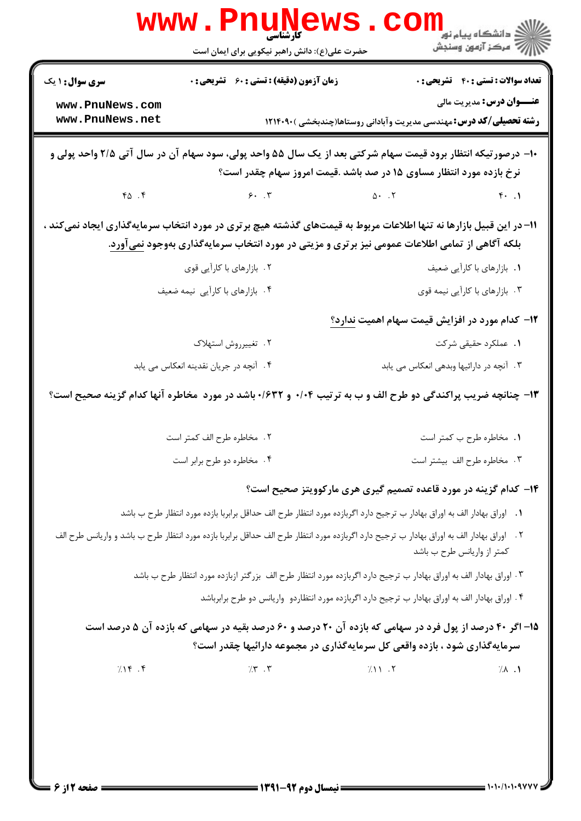|                                    | www.Pnune<br>حضرت علی(ع): دانش راهبر نیکویی برای ایمان است                                                                                                                                                                   |                                                                              | ر دانشگاه پيام نور ■<br> /> مرکز آزمون وسنجش |
|------------------------------------|------------------------------------------------------------------------------------------------------------------------------------------------------------------------------------------------------------------------------|------------------------------------------------------------------------------|----------------------------------------------|
| <b>سری سوال : ۱ یک</b>             | <b>زمان آزمون (دقیقه) : تستی : 60 ٪ تشریحی : 0</b>                                                                                                                                                                           |                                                                              | <b>تعداد سوالات : تستی : 40 ٪ تشریحی : 0</b> |
| www.PnuNews.com<br>www.PnuNews.net |                                                                                                                                                                                                                              | <b>رشته تحصیلی/کد درس:</b> مهندسی مدیریت وآبادانی روستاها(چندبخشی )۹۰۹۰۱۲۱۴۰ | <b>عنـــوان درس:</b> مدیریت مالی             |
|                                    | ∙ا− درصورتیکه انتظار برود قیمت سهام شرکتی بعد از یک سال ۵۵ واحد پولی، سود سهام آن در سال آتی ۲/۵ واحد پولی و                                                                                                                 | نرخ بازده مورد انتظار مساوی ۱۵ در صد باشد .قیمت امروز سهام چقدر است؟         |                                              |
| FA.                                | 9.7                                                                                                                                                                                                                          | $\Delta$ $\Upsilon$                                                          | $f.$ .                                       |
|                                    | 11– در این قبیل بازارها نه تنها اطلاعات مربوط به قیمتهای گذشته هیچ برتری در مورد انتخاب سرمایهگذاری ایجاد نمیکند ،<br>بلکه آگاهی از تمامی اطلاعات عمومی نیز برتری و مزیتی در مورد انتخاب سرمایهگذاری بهوجود <u>نمی</u> آورد. |                                                                              |                                              |
|                                    | ۲. بازارهای با کارآیی قوی                                                                                                                                                                                                    |                                                                              | ٠١. بازارهاي با كارأيي ضعيف                  |
|                                    | ۰۴ بازارهای با کاراًیی نیمه ضعیف                                                                                                                                                                                             |                                                                              | ۰۳ بازارهای با کارآیی نیمه قوی               |
|                                    |                                                                                                                                                                                                                              | ۱۲- کدام مورد در افزایش قیمت سهام اهمیت ندارد؟                               |                                              |
|                                    | ٢. تغييرروش استهلاك                                                                                                                                                                                                          |                                                                              | ۰۱ عملکرد حقیقی شرکت                         |
|                                    | ۰۴ آنچه در جریان نقدینه انعکاس می یابد                                                                                                                                                                                       | ۰۳ آنچه در دارائیها وبدهی انعکاس می یابد                                     |                                              |
|                                    | ۱۳- چنانچه ضریب پراکندگی دو طرح الف و ب به ترتیب ۰/۰۴ و ۱۶۳۲+ باشد در مورد ًمخاطره آنها کدام گزینه صحیح است؟                                                                                                                 |                                                                              |                                              |
|                                    | ٢. مخاطره طرح الف كمتر است                                                                                                                                                                                                   |                                                                              | ٠١. مخاطره طرح ب كمتر است                    |
|                                    | ۰۴ مخاطره دو طرح برابر است                                                                                                                                                                                                   |                                                                              | ۰۳ مخاطره طرح الف بيشتر است                  |
|                                    |                                                                                                                                                                                                                              | ۱۴- کدام گزینه در مورد قاعده تصمیم گیری هری مارکوویتز صحیح است؟              |                                              |
|                                    | ٠١ اوراق بهادار الف به اوراق بهادار ب ترجيح دارد اگربازده مورد انتظار طرح الف حداقل برابربا بازده مورد انتظار طرح ب باشد                                                                                                     |                                                                              |                                              |
|                                    | ٢ .   اوراق بهادار الف به اوراق بهادار ب ترجيح دارد اگربازده مورد انتظار طرح الف حداقل برابربا بازده مورد انتظار طرح ب باشد و واريانس طرح الف                                                                                |                                                                              | كمتر از واريانس طرح ب باشد                   |
|                                    | ۳. اوراق بهادار الف به اوراق بهادار ب ترجيح دارد اگربازده مورد انتظار طرح الف  بزرگتر ازبازده مورد انتظار طرح ب باشد                                                                                                         |                                                                              |                                              |
|                                    | ۰۴ اوراق بهادار الف به اوراق بهادار ب ترجيح دارد اگربازده مورد انتظاردو  واريانس دو طرح برابرباشد                                                                                                                            |                                                                              |                                              |
|                                    | ۱۵– اگر ۴۰ درصد از پول فرد در سهامی که بازده آن ۲۰ درصد و ۶۰ درصد بقیه در سهامی که بازده آن ۵ درصد است<br>سرمایهگذاری شود ، بازده واقعی کل سرمایهگذاری در مجموعه دارائیها چقدر است؟                                          |                                                                              |                                              |
|                                    |                                                                                                                                                                                                                              | 711.7                                                                        |                                              |
| 7.15.5                             | 75.7                                                                                                                                                                                                                         |                                                                              | $\lambda$ .                                  |
|                                    |                                                                                                                                                                                                                              |                                                                              |                                              |
|                                    |                                                                                                                                                                                                                              |                                                                              |                                              |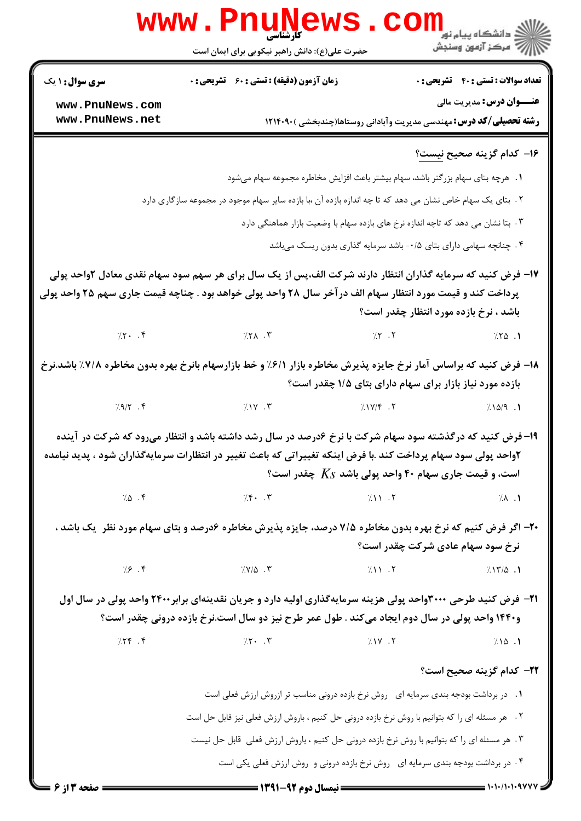|                                    | <b>WWW.FIIUNEWS</b><br>حضرت علی(ع): دانش راهبر نیکویی برای ایمان است                                                                                                                                                                                                                  | ڪ دانشڪاه پيام نور<br>ا∛ مرڪز آزمون وسنڊش    |
|------------------------------------|---------------------------------------------------------------------------------------------------------------------------------------------------------------------------------------------------------------------------------------------------------------------------------------|----------------------------------------------|
| <b>سری سوال : ۱ یک</b>             | <b>زمان آزمون (دقیقه) : تستی : 60 ٪ تشریحی : 0</b>                                                                                                                                                                                                                                    | <b>تعداد سوالات : تستی : 40 - تشریحی : 0</b> |
| www.PnuNews.com<br>www.PnuNews.net | <b>رشته تحصیلی/کد درس:</b> مهندسی مدیریت وآبادانی روستاها(چندبخشی )۱۲۱۴۰۹۰                                                                                                                                                                                                            | <b>عنـــوان درس:</b> مدیریت مالی             |
|                                    |                                                                                                                                                                                                                                                                                       | ۱۶– کدام گزینه صحیح <u>نیست</u> ؟            |
|                                    | ١. هرچه بتای سهام بزرگتر باشد، سهام بیشتر باعث افزایش مخاطره مجموعه سهام میشود                                                                                                                                                                                                        |                                              |
|                                    | ۲ .  بتای یک سهام خاص نشان می دهد که تا چه اندازه بازده آن ،با بازده سایر سهام موجود در مجموعه سازگاری دارد                                                                                                                                                                           |                                              |
|                                    | ۰۳ بتا نشان می دهد که تاچه اندازه نرخ های بازده سهام با وضعیت بازار هماهنگی دارد                                                                                                                                                                                                      |                                              |
|                                    | ۴ . چنانچه سهامی دارای بتای ۰/۵- باشد سرمایه گذاری بدون ریسک میباشد                                                                                                                                                                                                                   |                                              |
|                                    | ۱۷– فرض کنید که سرمایه گذاران انتظار دارند شرکت الف،پس از یک سال برای هر سهم سود سهام نقدی معادل ۲واحد پولی                                                                                                                                                                           |                                              |
|                                    | پرداخت کند و قیمت مورد انتظار سهام الف در آخر سال ۲۸ واحد پولی خواهد بود . چناچه قیمت جاری سهم ۲۵ واحد پولی                                                                                                                                                                           |                                              |
|                                    |                                                                                                                                                                                                                                                                                       | باشد ، نرخ بازده مورد انتظار چقدر است؟       |
|                                    |                                                                                                                                                                                                                                                                                       | 7.50.1                                       |
|                                    | ۱۸– فرض کنید که براساس آمار نرخ جایزه پذیرش مخاطره بازار ۶/۱٪ و خط بازارسهام بانرخ بهره بدون مخاطره ۷/۸٪ باشد.نرخ<br>بازده مورد نیاز بازار برای سهام دارای بتای ۱/۵ چقدر است؟                                                                                                         |                                              |
|                                    | $7.9/7.7$ $7.19/7.7$                                                                                                                                                                                                                                                                  | $1/\lambda\Delta/9$ .                        |
|                                    | ۱۹- فرض کنید که درگذشته سود سهام شرکت با نرخ ۶درصد در سال رشد داشته باشد و انتظار میرود که شرکت در آینده<br>۲واحد پولی سود سهام پرداخت کند .با فرض اینکه تغییراتی که باعث تغییر در انتظارات سرمایهگذاران شود ، پدید نیامده<br>است، و قیمت جاری سهام ۴۰ واحد پولی باشد $K_S$ چقدر است؟ |                                              |
|                                    | $\sqrt{2}$ $\sqrt{5}$ $\sqrt{7}$ $\sqrt{7}$ $\sqrt{7}$ $\sqrt{11}$ $\sqrt{7}$                                                                                                                                                                                                         | $\lambda$ . $\lambda$                        |
|                                    | <b>-۲-</b> اگر فرض کنیم که نرخ بهره بدون مخاطره ۷/۵ درصد، جایزه پذیرش مخاطره ۶درصد و بتای سهام مورد نظر ً یک باشد ،                                                                                                                                                                   | نرخ سود سهام عادی شرکت چقدر است؟             |
| 79.5                               | 7.7/0.7<br>$(1)$ $\cdot$ $\cdot$                                                                                                                                                                                                                                                      | 717/0.1                                      |
|                                    | <b>۲۱</b> - فرض کنید طرحی ۳۰۰۰واحد پولی هزینه سرمایهگذاری اولیه دارد و جریان نقدینهای برابر۲۴۰۰ واحد پولی در سال اول<br>و۱۴۴۰ واحد پولی در سال دوم ایجاد میکند . طول عمر طرح نیز دو سال است.نرخ بازده درونی چقدر است؟                                                                 |                                              |
| $7.79$ .                           | $\frac{1}{2}$ $\sqrt{11}$<br>$\gamma$ $\gamma$ . $\gamma$                                                                                                                                                                                                                             | 7.10.1                                       |
|                                    |                                                                                                                                                                                                                                                                                       | <b>۲۲</b> – کدام گزینه صحیح است؟             |
|                                    |                                                                                                                                                                                                                                                                                       |                                              |
|                                    | ۰۱ در برداشت بودجه بندی سرمایه ای۔ روش نرخ بازده درونی مناسب تر ازروش ارزش فعلی است<br>۲ . هر مسئله ای را که بتوانیم با روش نرخ بازده درونی حل کنیم ، باروش ارزش فعلی نیز قابل حل است                                                                                                 |                                              |
|                                    | ۰۳ هر مسئله ای را که بتوانیم با روش نرخ بازده درونی حل کنیم ، باروش ارزش فعلی قابل حل نیست                                                                                                                                                                                            |                                              |
|                                    | ۰۴ در برداشت بودجه بندی سرمایه ای۔ روش نرخ بازده درونی و روش ارزش فعلی یکی است                                                                                                                                                                                                        |                                              |
| صفحه 13 6 =                        | <b>ـــــــــــــــــ ن</b> یمسال دوم ۹۲- <b>۱۳۹۱ ـــــــــــــ</b>                                                                                                                                                                                                                    | $= 1.1.11.1.9$                               |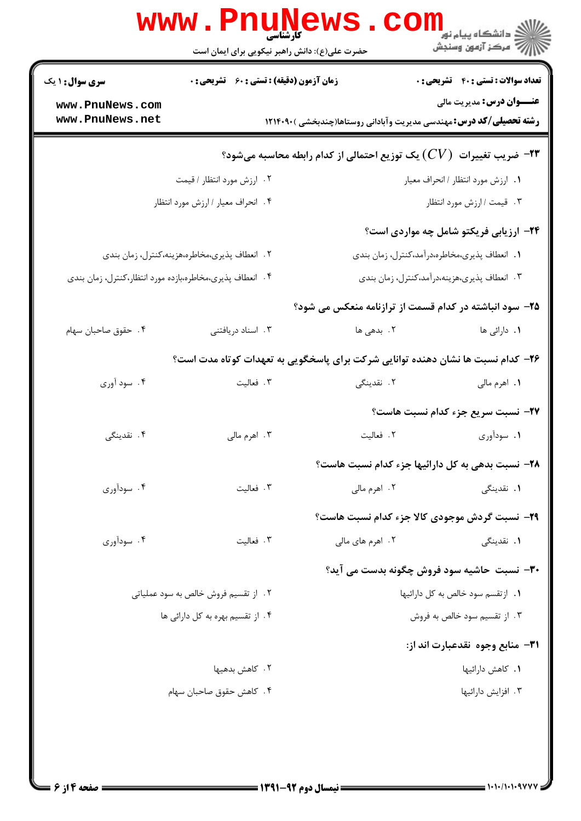|                                    | <b>WWW . P</b> I<br>کارشناسی<br>حضرت علی(ع): دانش راهبر نیکویی برای ایمان است |                                                                                 | ر دانشکاه پیام نور ■<br>ار <i>در دن آزمون</i> وسنجش |
|------------------------------------|-------------------------------------------------------------------------------|---------------------------------------------------------------------------------|-----------------------------------------------------|
| <b>سری سوال : ۱ یک</b>             | <b>زمان آزمون (دقیقه) : تستی : 60 ٪ تشریحی : 0</b>                            |                                                                                 | <b>تعداد سوالات : تستي : 40 - تشريحي : 0</b>        |
| www.PnuNews.com<br>www.PnuNews.net |                                                                               | <b>رشته تحصیلی/کد درس:</b> مهندسی مدیریت وآبادانی روستاها(چندبخشی )۱۲۱۴۰۹۰      | <b>عنـــوان درس:</b> مدیریت مالی                    |
|                                    |                                                                               | خریب تغییرات $(CV)$ یک توزیع احتمالی از کدام رابطه محاسبه میشود؟ $\bullet$      |                                                     |
|                                    | ٢. ارزش مورد انتظار / قيمت                                                    |                                                                                 | ١. ارزش مورد انتظار / انحراف معيار                  |
|                                    | ۰۴ انحراف معيار / ارزش مورد انتظار                                            |                                                                                 | ۰۳ قیمت / ارزش مورد انتظار                          |
|                                    |                                                                               |                                                                                 | ۲۴- ارزیابی فریکتو شامل چه مواردی است؟              |
|                                    | ۲. انعطاف پذیری،مخاطره،هزینه،کنترل، زمان بندی                                 |                                                                                 | ١. انعطاف پذیري،مخاطره،درآمد،كنترل، زمان بندي       |
|                                    | ۰۴ انعطاف پذیری،مخاطره،بازده مورد انتظار،کنترل، زمان بندی                     |                                                                                 | ۰۳ انعطاف پذیری،هزینه،دراًمد،کنترل، زمان بندی       |
|                                    |                                                                               | ۲۵– سود انباشته در کدام قسمت از ترازنامه منعکس می شود؟                          |                                                     |
| ۰۴ حقوق صاحبان سهام                | ۰۳ اسناد دریافتنی                                                             | ۰۲ بدهی ها                                                                      | ١. دارائي ها                                        |
|                                    |                                                                               | ۲۶– کدام نسبت ها نشان دهنده توانایی شرکت برای پاسخگویی به تعهدات کوتاه مدت است؟ |                                                     |
| ۰۴ سود آوري                        | ۰۳ فعالیت                                                                     | ۲. نقدینگی                                                                      | <b>۱.</b> اهرم مالي                                 |
|                                    |                                                                               |                                                                                 | ٢٧- نسبت سريع جزء كدام نسبت هاست؟                   |
| ۴. نقدینگی                         | ۰۳ اهرم مالي                                                                  | ٢. فعاليت                                                                       | ۰۱ سودآوری                                          |
|                                    |                                                                               | <b>۲۸</b> - نسبت بدهي به کل دارائيها جزء کدام نسبت هاست؟                        |                                                     |
| ۰۴ سودآوری                         | ۰۳ فعالیت                                                                     | ۰۲ اهرم مالي                                                                    | <b>۱.</b> نقدینگی                                   |
|                                    |                                                                               | <b>۲۹</b> - نسبت گردش موجودی کالا جزء کدام نسبت هاست؟                           |                                                     |
| ۰۴ سودآوري                         | ۰۳ فعالیت                                                                     | ۲. اهرم های مالی                                                                | <b>۱.</b> نقدینگی                                   |
|                                    |                                                                               | <b>۳۰</b> - نسبت حاشیه سود فروش چگونه بدست می آید؟                              |                                                     |
|                                    | ۲. از تقسیم فروش خالص به سود عملیاتی                                          |                                                                                 | ۰۱ از تقسم سود خالص به کل دارائیها                  |
|                                    | ۴ . از تقسیم بهره به کل دارائی ها                                             |                                                                                 | ۰۳ از تقسیم سود خالص به فروش                        |
|                                    |                                                                               |                                                                                 | ٣١– منابع وجوه نقدعبارت اند از:                     |
|                                    | ۲ . کاهش بدهیها                                                               |                                                                                 | ۰۱ كاهش دارائيها                                    |
|                                    | ۰۴ کاهش حقوق صاحبان سهام                                                      |                                                                                 | ۰۳ افزایش دارائیها                                  |
|                                    |                                                                               |                                                                                 |                                                     |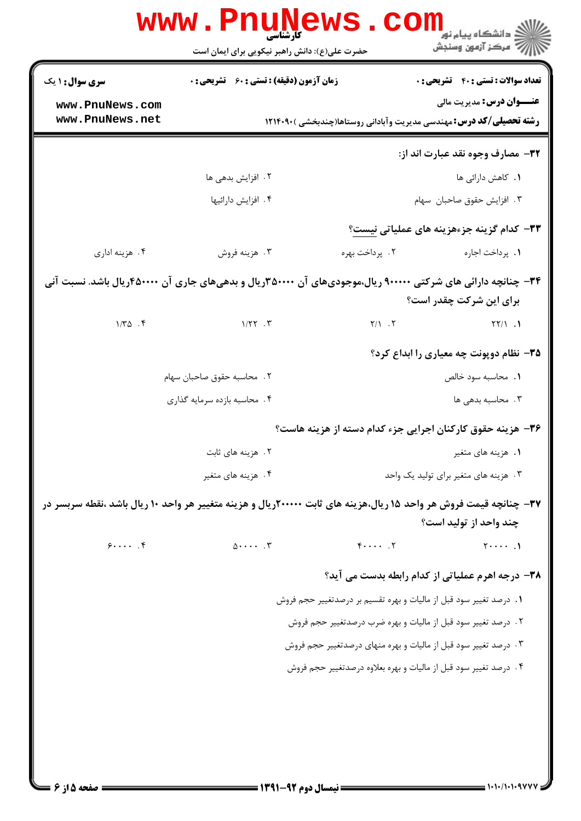|                                    | www.PnuNews                                        | دانشڪاه پيام نور<br>اڳ دانشڪاه پيام نور<br>اڳ مرڪز آزمون وسنڊش                                                                              |
|------------------------------------|----------------------------------------------------|---------------------------------------------------------------------------------------------------------------------------------------------|
|                                    | حضرت علی(ع): دانش راهبر نیکویی برای ایمان است      |                                                                                                                                             |
| <b>سری سوال : ۱ یک</b>             | <b>زمان آزمون (دقیقه) : تستی : 60 ٪ تشریحی : 0</b> | <b>تعداد سوالات : تستی : 40 - تشریحی : 0</b>                                                                                                |
| www.PnuNews.com<br>www.PnuNews.net |                                                    | <b>عنـــوان درس:</b> مديريت مالي                                                                                                            |
|                                    |                                                    | <b>رشته تحصیلی/کد درس:</b> مهندسی مدیریت وآبادانی روستاها(چندبخشی )۲۱۴۰۹۰                                                                   |
|                                    |                                                    | 32- مصارف وجوه نقد عبارت اند از:                                                                                                            |
|                                    | ۰۲ افزایش بدهی ها                                  | <b>۱.</b> کاهش دارائی ها                                                                                                                    |
|                                    | ۰۴ افزایش دارائیها                                 | ۰۳ افزایش حقوق صاحبان سهام                                                                                                                  |
|                                    |                                                    | ۳۳– کدام گزینه جزءهزینه های عملیاتی نیست؟                                                                                                   |
| ۰۴ هزينه اداري                     | ۰۳ هزينه فروش                                      | ۰۲ پرداخت بهره<br><b>۱.</b> پرداخت اجاره                                                                                                    |
|                                    |                                                    | ۳۴- چنانچه دارائی های شرکتی ۹۰۰۰۰۰ ریال،موجودیهای آن ۳۵۰۰۰۰۳ریال و بدهیهای جاری آن ۴۵۰۰۰۰۰ریال باشد. نسبت آنی<br>برای این شرکت چقدر است؟    |
|                                    | $1/\Upsilon \Delta$ $\Upsilon$                     | $Y/1.7$ $Y/1.1$                                                                                                                             |
|                                    |                                                    | ۳۵- نظام دوپونت چه معیاری را ابداع کرد؟                                                                                                     |
|                                    | ٠٢ محاسبه حقوق صاحبان سهام                         | ٠١. محاسبه سود خالص                                                                                                                         |
|                                    | ۰۴ محاسبه بازده سرمايه گذاري                       | ۰۳ محاسبه بدهی ها                                                                                                                           |
|                                    |                                                    | ۳۶- هزینه حقوق کارکنان اجرایی جزء کدام دسته از هزینه هاست؟                                                                                  |
|                                    | ۰۲ هزینه های ثابت                                  | ۰۱ هزینه های متغیر                                                                                                                          |
|                                    | ۴. هزینه های متغیر                                 | ۰۳ هزینه های متغیر برای تولید یک واحد                                                                                                       |
|                                    |                                                    | ۳۷- چنانچه قیمت فروش هر واحد ۱۵ ریال،هزینه های ثابت ۲۰۰۰۰۰ریال و هزینه متغییر هر واحد ۱۰ ریال باشد ،نقطه سربسر در<br>چند واحد از تولید است؟ |
| 9                                  | $0 \cdots$ . $\mathbf{r}$                          | $F \cdots$ . $V$<br>$\cdots$ .                                                                                                              |
|                                    |                                                    |                                                                                                                                             |
|                                    |                                                    | ۳۸- درجه اهرم عملیاتی از کدام رابطه بدست می آید؟<br>1. درصد تغيير سود قبل از ماليات و بهره تقسيم بر درصدتغيير حجم فروش                      |
|                                    |                                                    | ٢. درصد تغيير سود قبل از ماليات و بهره ضرب درصدتغيير حجم فروش                                                                               |
|                                    |                                                    | ۰۳ درصد تغییر سود قبل از مالیات و بهره منهای درصدتغییر حجم فروش                                                                             |
|                                    |                                                    | ۰۴ درصد تغییر سود قبل از مالیات و بهره بعلاوه درصدتغییر حجم فروش                                                                            |
|                                    |                                                    |                                                                                                                                             |
|                                    |                                                    |                                                                                                                                             |
|                                    |                                                    |                                                                                                                                             |
|                                    |                                                    |                                                                                                                                             |